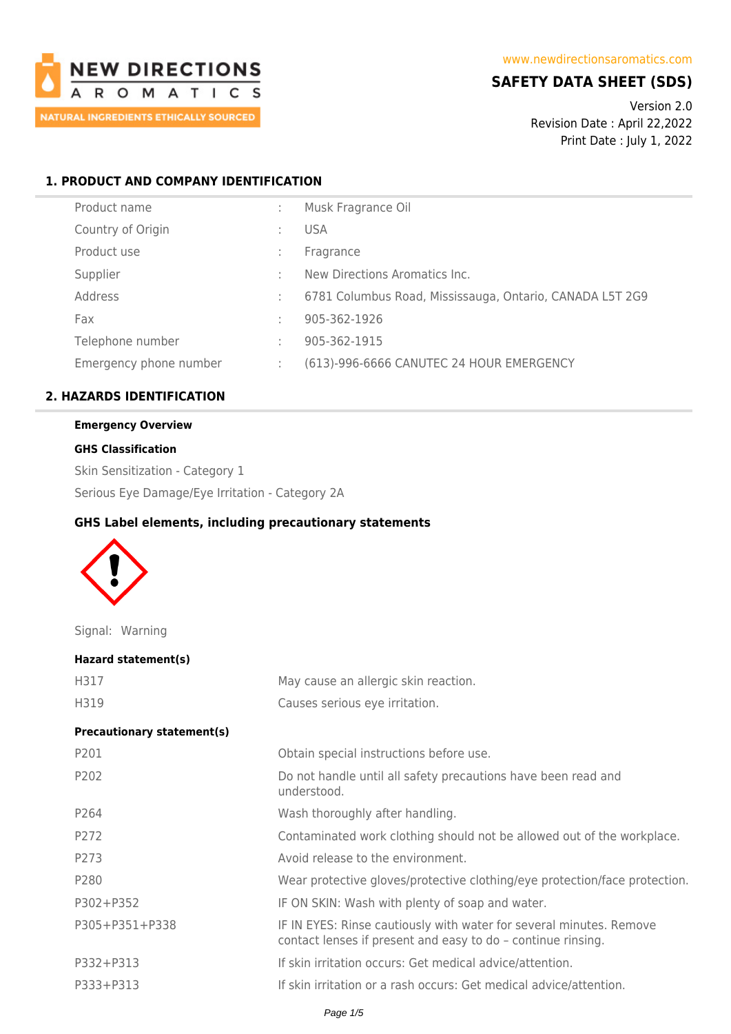

# **SAFETY DATA SHEET (SDS)**

Version 2.0 Revision Date : April 22,2022 Print Date : July 1, 2022

## **1. PRODUCT AND COMPANY IDENTIFICATION**

| Product name           |   | Musk Fragrance Oil                                       |
|------------------------|---|----------------------------------------------------------|
| Country of Origin      |   | <b>USA</b>                                               |
| Product use            |   | Fragrance                                                |
| Supplier               |   | New Directions Aromatics Inc.                            |
| Address                |   | 6781 Columbus Road, Mississauga, Ontario, CANADA L5T 2G9 |
| Fax                    |   | 905-362-1926                                             |
| Telephone number       |   | 905-362-1915                                             |
| Emergency phone number | ÷ | (613)-996-6666 CANUTEC 24 HOUR EMERGENCY                 |
|                        |   |                                                          |

# **2. HAZARDS IDENTIFICATION**

## **Emergency Overview**

#### **GHS Classification**

Skin Sensitization - Category 1 Serious Eye Damage/Eye Irritation - Category 2A

# **GHS Label elements, including precautionary statements**



Signal: Warning

| Hazard statement(s)               |                                                                                                                                     |
|-----------------------------------|-------------------------------------------------------------------------------------------------------------------------------------|
| H317                              | May cause an allergic skin reaction.                                                                                                |
| H319                              | Causes serious eye irritation.                                                                                                      |
| <b>Precautionary statement(s)</b> |                                                                                                                                     |
| P201                              | Obtain special instructions before use.                                                                                             |
| P202                              | Do not handle until all safety precautions have been read and<br>understood.                                                        |
| P <sub>264</sub>                  | Wash thoroughly after handling.                                                                                                     |
| P272                              | Contaminated work clothing should not be allowed out of the workplace.                                                              |
| P273                              | Avoid release to the environment.                                                                                                   |
| P280                              | Wear protective gloves/protective clothing/eye protection/face protection.                                                          |
| P302+P352                         | IF ON SKIN: Wash with plenty of soap and water.                                                                                     |
| P305+P351+P338                    | IF IN EYES: Rinse cautiously with water for several minutes. Remove<br>contact lenses if present and easy to do - continue rinsing. |
| P332+P313                         | If skin irritation occurs: Get medical advice/attention.                                                                            |
| P333+P313                         | If skin irritation or a rash occurs: Get medical advice/attention.                                                                  |
|                                   |                                                                                                                                     |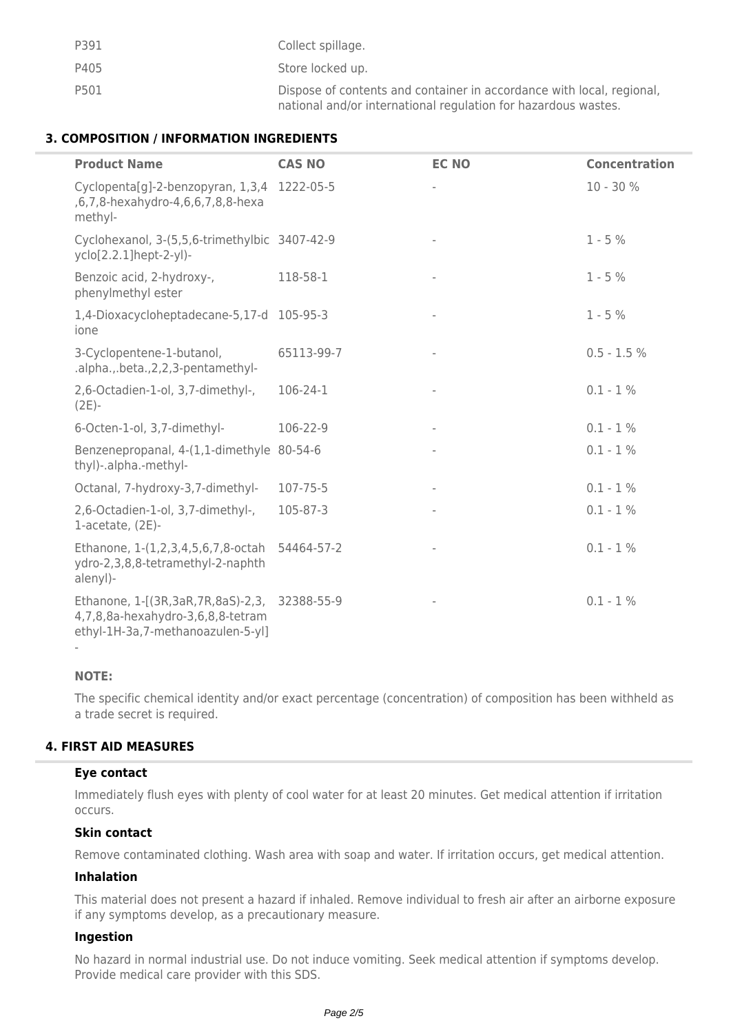| P391 | Collect spillage.                                                                                                                       |
|------|-----------------------------------------------------------------------------------------------------------------------------------------|
| P405 | Store locked up.                                                                                                                        |
| P501 | Dispose of contents and container in accordance with local, regional,<br>national and/or international regulation for hazardous wastes. |

## **3. COMPOSITION / INFORMATION INGREDIENTS**

| <b>Product Name</b>                                                                                                    | <b>CAS NO</b> | <b>EC NO</b>             | <b>Concentration</b> |
|------------------------------------------------------------------------------------------------------------------------|---------------|--------------------------|----------------------|
| Cyclopenta[g]-2-benzopyran, 1,3,4 1222-05-5<br>,6,7,8-hexahydro-4,6,6,7,8,8-hexa<br>methyl-                            |               |                          | 10 - 30 %            |
| Cyclohexanol, 3-(5,5,6-trimethylbic 3407-42-9<br>yclo[2.2.1]hept-2-yl)-                                                |               |                          | $1 - 5%$             |
| Benzoic acid, 2-hydroxy-,<br>phenylmethyl ester                                                                        | 118-58-1      | $\overline{\phantom{m}}$ | $1 - 5%$             |
| 1,4-Dioxacycloheptadecane-5,17-d 105-95-3<br>ione                                                                      |               |                          | $1 - 5%$             |
| 3-Cyclopentene-1-butanol,<br>.alpha.,.beta., 2, 2, 3-pentamethyl-                                                      | 65113-99-7    |                          | $0.5 - 1.5 %$        |
| 2,6-Octadien-1-ol, 3,7-dimethyl-,<br>$(2E) -$                                                                          | 106-24-1      | $\bar{ }$                | $0.1 - 1 \%$         |
| 6-Octen-1-ol, 3,7-dimethyl-                                                                                            | 106-22-9      | $\overline{a}$           | $0.1 - 1 \%$         |
| Benzenepropanal, 4-(1,1-dimethyle 80-54-6<br>thyl)-.alpha.-methyl-                                                     |               | $\bar{ }$                | $0.1 - 1 \%$         |
| Octanal, 7-hydroxy-3,7-dimethyl-                                                                                       | 107-75-5      | $\overline{a}$           | $0.1 - 1 \%$         |
| 2,6-Octadien-1-ol, 3,7-dimethyl-,<br>1-acetate, (2E)-                                                                  | 105-87-3      |                          | $0.1 - 1 \%$         |
| Ethanone, 1-(1,2,3,4,5,6,7,8-octah<br>ydro-2,3,8,8-tetramethyl-2-naphth<br>alenyl)-                                    | 54464-57-2    |                          | $0.1 - 1 %$          |
| Ethanone, 1-[(3R,3aR,7R,8aS)-2,3, 32388-55-9<br>4,7,8,8a-hexahydro-3,6,8,8-tetram<br>ethyl-1H-3a,7-methanoazulen-5-yl] |               |                          | $0.1 - 1\%$          |
|                                                                                                                        |               |                          |                      |

# **NOTE:**

The specific chemical identity and/or exact percentage (concentration) of composition has been withheld as a trade secret is required.

# **4. FIRST AID MEASURES**

# **Eye contact**

Immediately flush eyes with plenty of cool water for at least 20 minutes. Get medical attention if irritation occurs.

## **Skin contact**

Remove contaminated clothing. Wash area with soap and water. If irritation occurs, get medical attention.

## **Inhalation**

This material does not present a hazard if inhaled. Remove individual to fresh air after an airborne exposure if any symptoms develop, as a precautionary measure.

## **Ingestion**

No hazard in normal industrial use. Do not induce vomiting. Seek medical attention if symptoms develop. Provide medical care provider with this SDS.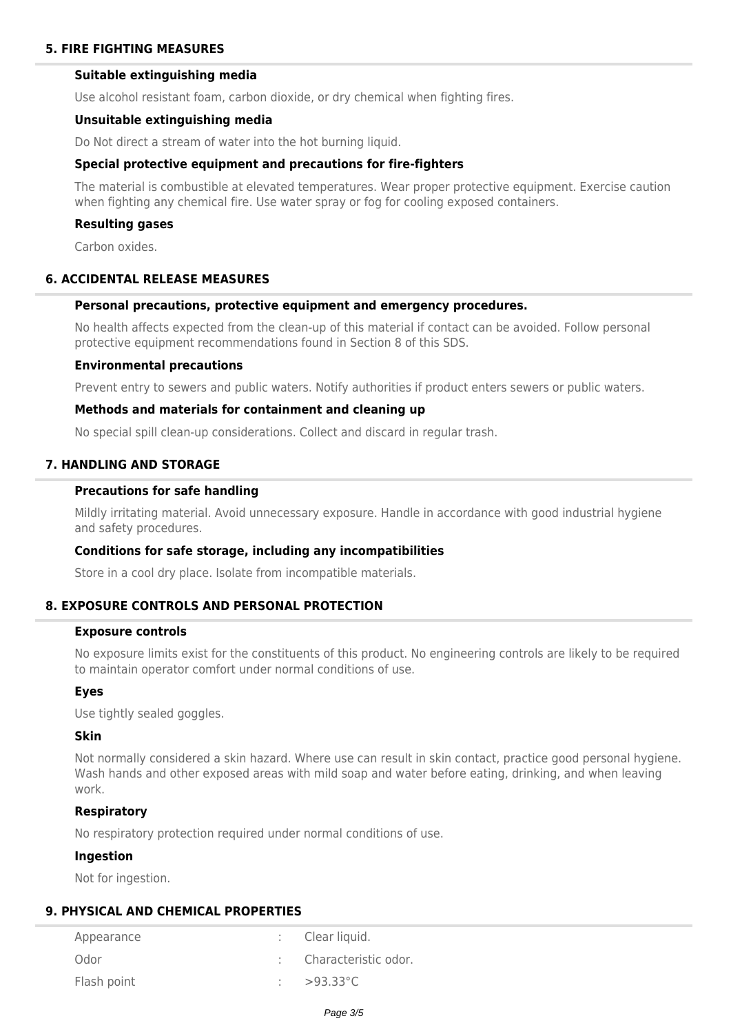### **5. FIRE FIGHTING MEASURES**

#### **Suitable extinguishing media**

Use alcohol resistant foam, carbon dioxide, or dry chemical when fighting fires.

#### **Unsuitable extinguishing media**

Do Not direct a stream of water into the hot burning liquid.

#### **Special protective equipment and precautions for fire-fighters**

The material is combustible at elevated temperatures. Wear proper protective equipment. Exercise caution when fighting any chemical fire. Use water spray or fog for cooling exposed containers.

#### **Resulting gases**

Carbon oxides.

## **6. ACCIDENTAL RELEASE MEASURES**

### **Personal precautions, protective equipment and emergency procedures.**

No health affects expected from the clean-up of this material if contact can be avoided. Follow personal protective equipment recommendations found in Section 8 of this SDS.

#### **Environmental precautions**

Prevent entry to sewers and public waters. Notify authorities if product enters sewers or public waters.

#### **Methods and materials for containment and cleaning up**

No special spill clean-up considerations. Collect and discard in regular trash.

#### **7. HANDLING AND STORAGE**

## **Precautions for safe handling**

Mildly irritating material. Avoid unnecessary exposure. Handle in accordance with good industrial hygiene and safety procedures.

#### **Conditions for safe storage, including any incompatibilities**

Store in a cool dry place. Isolate from incompatible materials.

### **8. EXPOSURE CONTROLS AND PERSONAL PROTECTION**

#### **Exposure controls**

No exposure limits exist for the constituents of this product. No engineering controls are likely to be required to maintain operator comfort under normal conditions of use.

#### **Eyes**

Use tightly sealed goggles.

#### **Skin**

Not normally considered a skin hazard. Where use can result in skin contact, practice good personal hygiene. Wash hands and other exposed areas with mild soap and water before eating, drinking, and when leaving work.

#### **Respiratory**

No respiratory protection required under normal conditions of use.

#### **Ingestion**

Not for ingestion.

#### **9. PHYSICAL AND CHEMICAL PROPERTIES**

| Appearance  | : Clear liquid.        |
|-------------|------------------------|
| Odor        | : Characteristic odor. |
| Flash point | $: 93.33^{\circ}$ C    |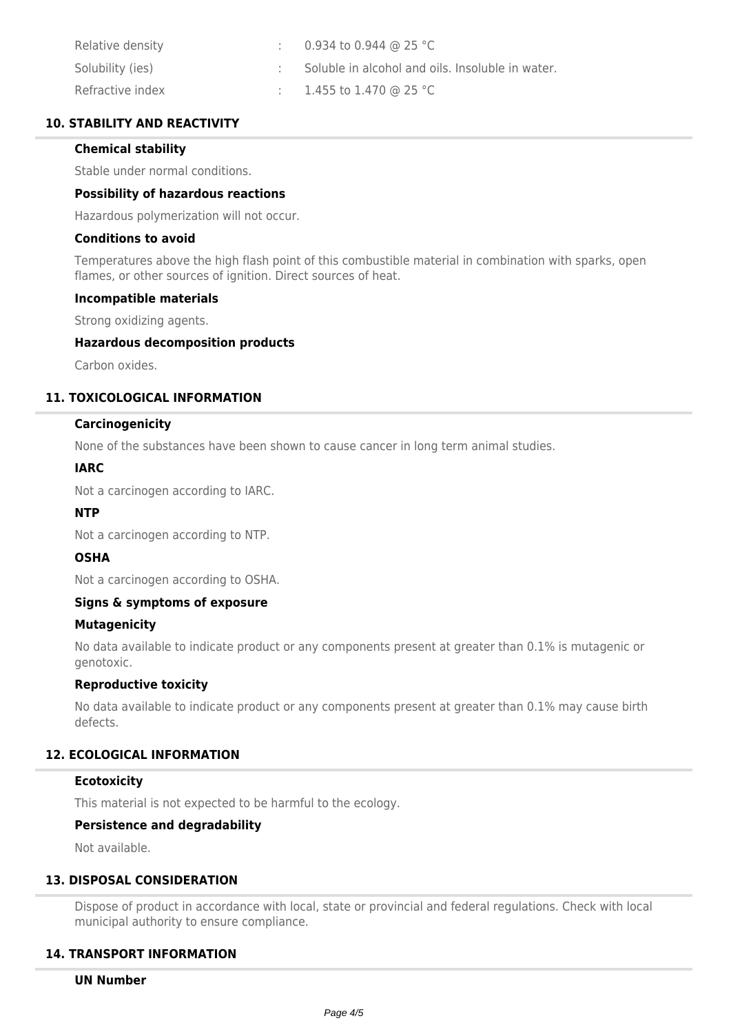| Relative density | 0.934 to 0.944 @ 25 $^{\circ}$ C                 |
|------------------|--------------------------------------------------|
| Solubility (ies) | Soluble in alcohol and oils. Insoluble in water. |
| Refractive index | $\therefore$ 1.455 to 1.470 @ 25 °C              |

# **10. STABILITY AND REACTIVITY**

## **Chemical stability**

Stable under normal conditions.

## **Possibility of hazardous reactions**

Hazardous polymerization will not occur.

#### **Conditions to avoid**

Temperatures above the high flash point of this combustible material in combination with sparks, open flames, or other sources of ignition. Direct sources of heat.

#### **Incompatible materials**

Strong oxidizing agents.

## **Hazardous decomposition products**

Carbon oxides.

# **11. TOXICOLOGICAL INFORMATION**

### **Carcinogenicity**

None of the substances have been shown to cause cancer in long term animal studies.

#### **IARC**

Not a carcinogen according to IARC.

#### **NTP**

Not a carcinogen according to NTP.

## **OSHA**

Not a carcinogen according to OSHA.

## **Signs & symptoms of exposure**

## **Mutagenicity**

No data available to indicate product or any components present at greater than 0.1% is mutagenic or genotoxic.

## **Reproductive toxicity**

No data available to indicate product or any components present at greater than 0.1% may cause birth defects.

## **12. ECOLOGICAL INFORMATION**

## **Ecotoxicity**

This material is not expected to be harmful to the ecology.

## **Persistence and degradability**

Not available.

## **13. DISPOSAL CONSIDERATION**

Dispose of product in accordance with local, state or provincial and federal regulations. Check with local municipal authority to ensure compliance.

## **14. TRANSPORT INFORMATION**

#### **UN Number**